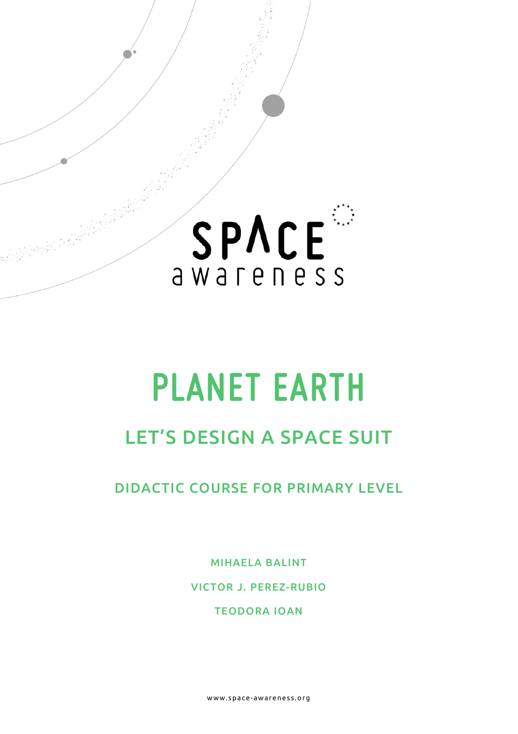

# **PLANET EARTH**

## LET'S DESIGN A SPACE SUIT

DIDACTIC COURSE FOR PRIMARY LEVEL

MIHAELA BALINT

VICTOR J. PEREZ-RUBIO

TEODORA IOAN

www.space- awareness.org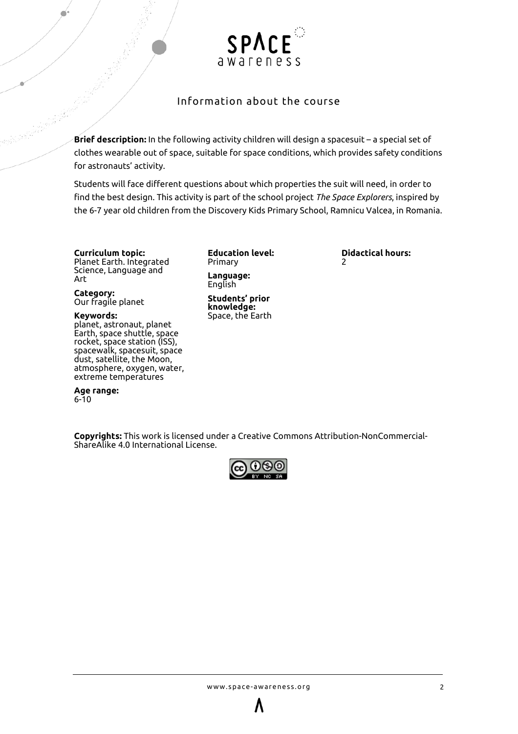

#### Information about the course

**Brief description:** In the following activity children will design a spacesuit – a special set of clothes wearable out of space, suitable for space conditions, which provides safety conditions for astronauts' activity.

Students will face different questions about which properties the suit will need, in order to find the best design. This activity is part of the school project *The Space Explorers*, inspired by the 6-7 year old children from the Discovery Kids Primary School, Ramnicu Valcea, in Romania.

**Curriculum topic:**  Planet Earth. Integrated Science, Language and Art

**Category:** Our fragile planet

**Keywords:** planet, astronaut, planet Earth, space shuttle, space rocket, space station (ISS), spacewalk, spacesuit, space dust, satellite, the Moon, atmosphere, oxygen, water, extreme temperatures

**Age range:** 6-10

**Education level:** Primary **Language:** English

**Students' prior knowledge:** Space, the Earth **Didactical hours:**   $\overline{\phantom{0}}$ 

**Copyrights:** This work is licensed under a [Creative Commons Attribution-NonCommercial-](http://creativecommons.org/licenses/by-nc-sa/4.0/)[ShareAlike 4.0 International License.](http://creativecommons.org/licenses/by-nc-sa/4.0/)

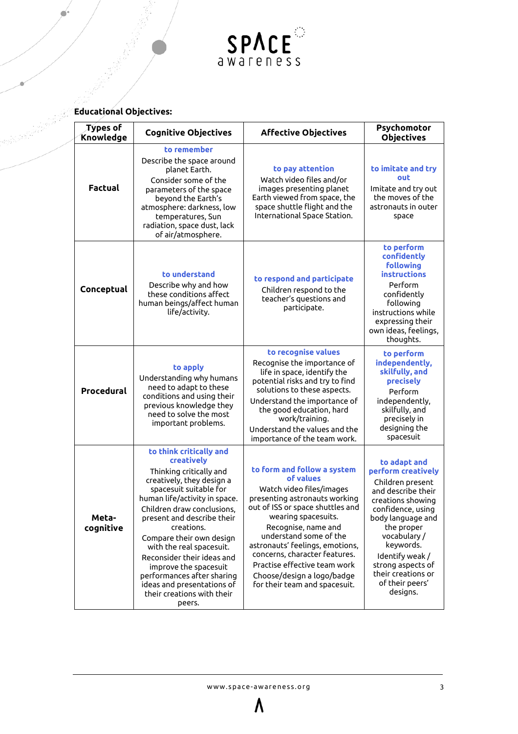

#### **Educational Objectives:**

| Types of<br>Knowledge | <b>Cognitive Objectives</b>                                                                                                                                                                                                                                                                                                                                                                                                                           | <b>Affective Objectives</b>                                                                                                                                                                                                                                                                                                                                                          | Psychomotor<br><b>Objectives</b>                                                                                                                                                                                                                                                   |
|-----------------------|-------------------------------------------------------------------------------------------------------------------------------------------------------------------------------------------------------------------------------------------------------------------------------------------------------------------------------------------------------------------------------------------------------------------------------------------------------|--------------------------------------------------------------------------------------------------------------------------------------------------------------------------------------------------------------------------------------------------------------------------------------------------------------------------------------------------------------------------------------|------------------------------------------------------------------------------------------------------------------------------------------------------------------------------------------------------------------------------------------------------------------------------------|
| <b>Factual</b>        | to remember<br>Describe the space around<br>planet Earth.<br>Consider some of the<br>parameters of the space<br>beyond the Earth's<br>atmosphere: darkness, low<br>temperatures, Sun<br>radiation, space dust, lack<br>of air/atmosphere.                                                                                                                                                                                                             | to pay attention<br>Watch video files and/or<br>images presenting planet<br>Earth viewed from space, the<br>space shuttle flight and the<br>International Space Station.                                                                                                                                                                                                             | to imitate and try<br>out<br>Imitate and try out<br>the moves of the<br>astronauts in outer<br>space                                                                                                                                                                               |
| Conceptual            | to understand<br>Describe why and how<br>these conditions affect<br>human beings/affect human<br>life/activity.                                                                                                                                                                                                                                                                                                                                       | to respond and participate<br>Children respond to the<br>teacher's questions and<br>participate.                                                                                                                                                                                                                                                                                     | to perform<br>confidently<br><b>following</b><br>instructions<br>Perform<br>confidently<br>following<br>instructions while<br>expressing their<br>own ideas, feelings,<br>thoughts.                                                                                                |
| Procedural            | to apply<br>Understanding why humans<br>need to adapt to these<br>conditions and using their<br>previous knowledge they<br>need to solve the most<br>important problems.                                                                                                                                                                                                                                                                              | to recognise values<br>Recognise the importance of<br>life in space, identify the<br>potential risks and try to find<br>solutions to these aspects.<br>Understand the importance of<br>the good education, hard<br>work/training.<br>Understand the values and the<br>importance of the team work.                                                                                   | to perform<br>independently,<br>skilfully, and<br>precisely<br>Perform<br>independently,<br>skilfully, and<br>precisely in<br>designing the<br>spacesuit                                                                                                                           |
| Meta-<br>cognitive    | to think critically and<br>creatively<br>Thinking critically and<br>creatively, they design a<br>spacesuit suitable for<br>human life/activity in space.<br>Children draw conclusions,<br>present and describe their<br>creations.<br>Compare their own design<br>with the real spacesuit.<br>Reconsider their ideas and<br>improve the spacesuit<br>performances after sharing<br>ideas and presentations of<br>their creations with their<br>peers. | to form and follow a system<br>of values<br>Watch video files/images<br>presenting astronauts working<br>out of ISS or space shuttles and<br>wearing spacesuits.<br>Recognise, name and<br>understand some of the<br>astronauts' feelings, emotions,<br>concerns, character features.<br>Practise effective team work<br>Choose/design a logo/badge<br>for their team and spacesuit. | to adapt and<br>perform creatively<br>Children present<br>and describe their<br>creations showing<br>confidence, using<br>body language and<br>the proper<br>vocabulary/<br>keywords.<br>Identify weak /<br>strong aspects of<br>their creations or<br>of their peers'<br>designs. |

 $\boldsymbol{\Lambda}$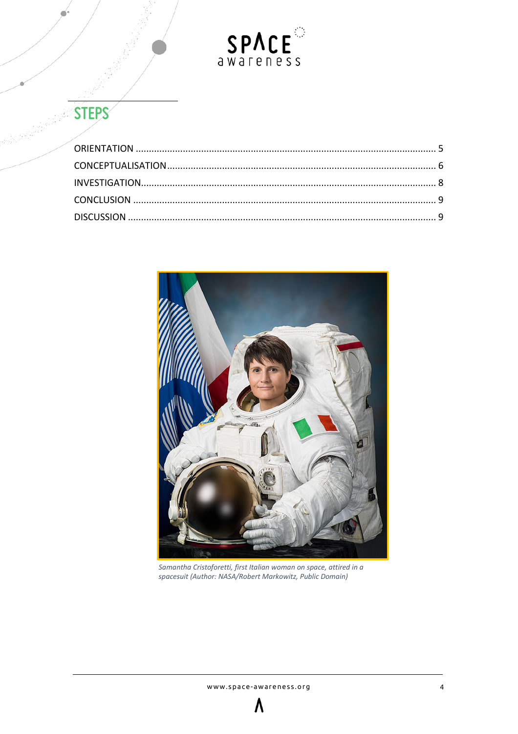

# STEPS

<span id="page-3-0"></span>

Samantha Cristoforetti, first Italian woman on space, attired in a spacesuit (Author: NASA/Robert Markowitz, Public Domain)

 $\boldsymbol{\Lambda}$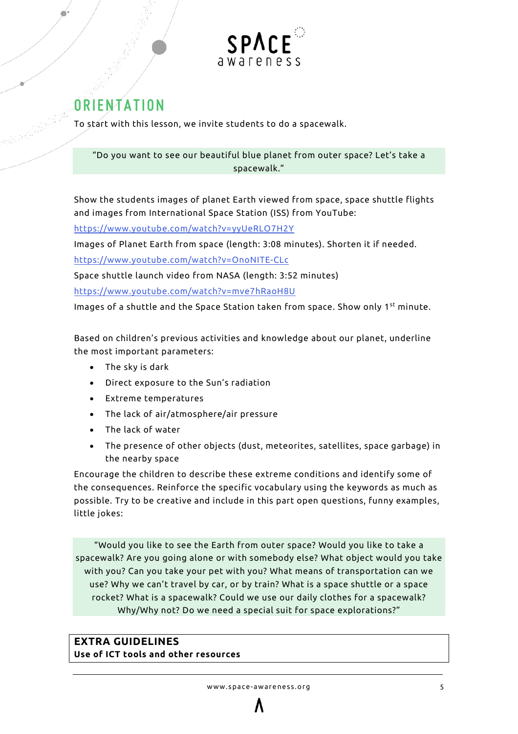

## **ORIENTATION**

To start with this lesson, we invite students to do a spacewalk.

"Do you want to see our beautiful blue planet from outer space? Let's take a spacewalk."

Show the students images of planet Earth viewed from space, space shuttle flights and images from International Space Station (ISS) from YouTube:

<https://www.youtube.com/watch?v=yyUeRLO7H2Y>

Images of Planet Earth from space (length: 3:08 minutes). Shorten it if needed.

<https://www.youtube.com/watch?v=OnoNITE-CLc>

Space shuttle launch video from NASA (length: 3:52 minutes)

<https://www.youtube.com/watch?v=mve7hRaoH8U>

Images of a shuttle and the Space Station taken from space. Show only 1<sup>st</sup> minute.

Based on children's previous activities and knowledge about our planet, underline the most important parameters:

- The sky is dark
- Direct exposure to the Sun's radiation
- Extreme temperatures
- The lack of air/atmosphere/air pressure
- The lack of water
- The presence of other objects (dust, meteorites, satellites, space garbage) in the nearby space

Encourage the children to describe these extreme conditions and identify some of the consequences. Reinforce the specific vocabulary using the keywords as much as possible. Try to be creative and include in this part open questions, funny examples, little jokes:

"Would you like to see the Earth from outer space? Would you like to take a spacewalk? Are you going alone or with somebody else? What object would you take with you? Can you take your pet with you? What means of transportation can we use? Why we can't travel by car, or by train? What is a space shuttle or a space rocket? What is a spacewalk? Could we use our daily clothes for a spacewalk? Why/Why not? Do we need a special suit for space explorations?"

#### **EXTRA GUIDELINES Use of ICT tools and other resources**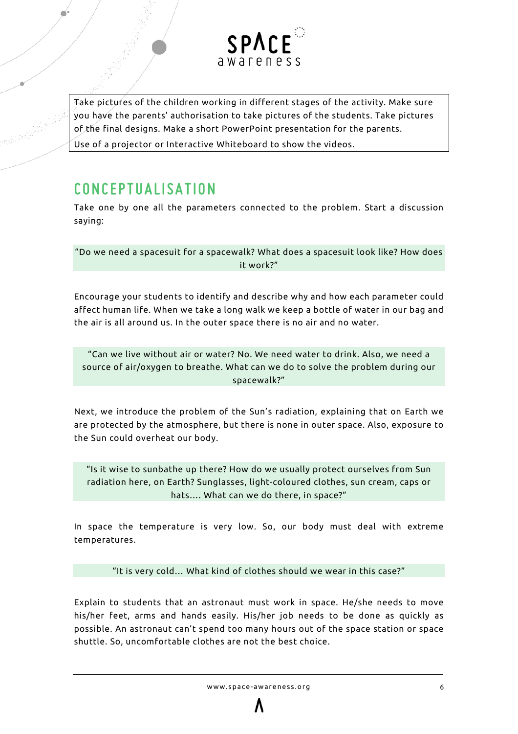

Take pictures of the children working in different stages of the activity. Make sure you have the parents' authorisation to take pictures of the students. Take pictures of the final designs. Make a short PowerPoint presentation for the parents.

<span id="page-5-0"></span>Use of a projector or Interactive Whiteboard to show the videos.

## **CONCEPTUALISATION**

Take one by one all the parameters connected to the problem. Start a discussion saying:

"Do we need a spacesuit for a spacewalk? What does a spacesuit look like? How does it work?"

Encourage your students to identify and describe why and how each parameter could affect human life. When we take a long walk we keep a bottle of water in our bag and the air is all around us. In the outer space there is no air and no water.

"Can we live without air or water? No. We need water to drink. Also, we need a source of air/oxygen to breathe. What can we do to solve the problem during our spacewalk?"

Next, we introduce the problem of the Sun's radiation, explaining that on Earth we are protected by the atmosphere, but there is none in outer space. Also, exposure to the Sun could overheat our body.

"Is it wise to sunbathe up there? How do we usually protect ourselves from Sun radiation here, on Earth? Sunglasses, light-coloured clothes, sun cream, caps or hats…. What can we do there, in space?"

In space the temperature is very low. So, our body must deal with extreme temperatures.

"It is very cold… What kind of clothes should we wear in this case?"

Explain to students that an astronaut must work in space. He/she needs to move his/her feet, arms and hands easily. His/her job needs to be done as quickly as possible. An astronaut can't spend too many hours out of the space station or space shuttle. So, uncomfortable clothes are not the best choice.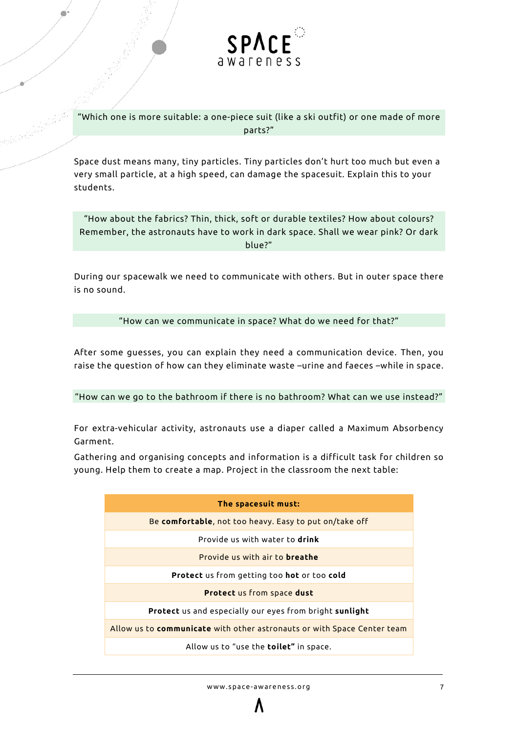

"Which one is more suitable: a one-piece suit (like a ski outfit) or one made of more parts?"

Space dust means many, tiny particles. Tiny particles don't hurt too much but even a very small particle, at a high speed, can damage the spacesuit. Explain this to your students.

"How about the fabrics? Thin, thick, soft or durable textiles? How about colours? Remember, the astronauts have to work in dark space. Shall we wear pink? Or dark blue?"

During our spacewalk we need to communicate with others. But in outer space there is no sound.

"How can we communicate in space? What do we need for that?"

After some guesses, you can explain they need a communication device. Then, you raise the question of how can they eliminate waste –urine and faeces –while in space.

"How can we go to the bathroom if there is no bathroom? What can we use instead?"

For extra-vehicular activity, astronauts use a diaper called a Maximum Absorbency Garment.

Gathering and organising concepts and information is a difficult task for children so young. Help them to create a map. Project in the classroom the next table:

| The spacesuit must:                                                            |  |  |
|--------------------------------------------------------------------------------|--|--|
| Be comfortable, not too heavy. Easy to put on/take off                         |  |  |
| Provide us with water to <b>drink</b>                                          |  |  |
| Provide us with air to <b>breathe</b>                                          |  |  |
| <b>Protect</b> us from getting too <b>hot</b> or too <b>cold</b>               |  |  |
| <b>Protect</b> us from space dust                                              |  |  |
| <b>Protect</b> us and especially our eyes from bright <b>sunlight</b>          |  |  |
| Allow us to <b>communicate</b> with other astronauts or with Space Center team |  |  |
| Allow us to "use the <b>toilet"</b> in space.                                  |  |  |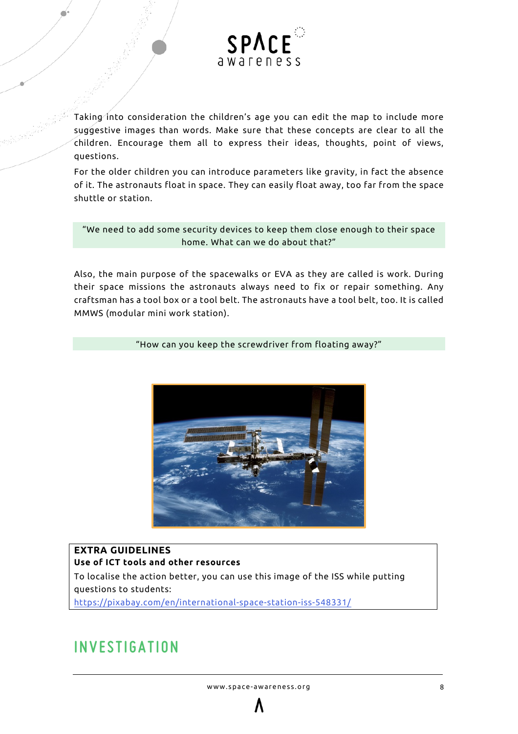

Taking into consideration the children's age you can edit the map to include more suggestive images than words. Make sure that these concepts are clear to all the children. Encourage them all to express their ideas, thoughts, point of views, questions.

For the older children you can introduce parameters like gravity, in fact the absence of it. The astronauts float in space. They can easily float away, too far from the space shuttle or station.

"We need to add some security devices to keep them close enough to their space home. What can we do about that?"

Also, the main purpose of the spacewalks or EVA as they are called is work. During their space missions the astronauts always need to fix or repair something. Any craftsman has a tool box or a tool belt. The astronauts have a tool belt, too. It is called MMWS (modular mini work station).

"How can you keep the screwdriver from floating away?"



#### **EXTRA GUIDELINES Use of ICT tools and other resources** To localise the action better, you can use this image of the ISS while putting questions to students:

<span id="page-7-0"></span><https://pixabay.com/en/international-space-station-iss-548331/>

## **INVESTIGATION**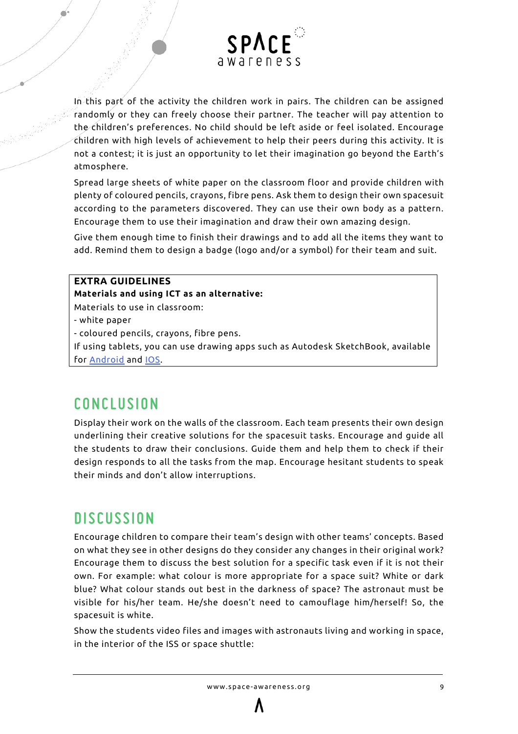

In this part of the activity the children work in pairs. The children can be assigned randomly or they can freely choose their partner. The teacher will pay attention to the children's preferences. No child should be left aside or feel isolated. Encourage children with high levels of achievement to help their peers during this activity. It is not a contest; it is just an opportunity to let their imagination go beyond the Earth's atmosphere.

Spread large sheets of white paper on the classroom floor and provide children with plenty of coloured pencils, crayons, fibre pens. Ask them to design their own spacesuit according to the parameters discovered. They can use their own body as a pattern. Encourage them to use their imagination and draw their own amazing design.

Give them enough time to finish their drawings and to add all the items they want to add. Remind them to design a badge (logo and/or a symbol) for their team and suit.

#### **EXTRA GUIDELINES**

**Materials and using ICT as an alternative:**

Materials to use in classroom:

- white paper

- coloured pencils, crayons, fibre pens.

If using tablets, you can use drawing apps such as Autodesk SketchBook, available for [Android](https://play.google.com/store/apps/details?id=com.adsk.sketchbook) and [IOS.](https://itunes.apple.com/us/app/autodesk-sketchbook-mobile/id883738213?mt=8&uo=8&at=11l32zP)

## <span id="page-8-0"></span>**CONCLUSION**

Display their work on the walls of the classroom. Each team presents their own design underlining their creative solutions for the spacesuit tasks. Encourage and guide all the students to draw their conclusions. Guide them and help them to check if their design responds to all the tasks from the map. Encourage hesitant students to speak their minds and don't allow interruptions.

### <span id="page-8-1"></span>**DISCUSSIO N**

Encourage children to compare their team's design with other teams' concepts. Based on what they see in other designs do they consider any changes in their original work? Encourage them to discuss the best solution for a specific task even if it is not their own. For example: what colour is more appropriate for a space suit? White or dark blue? What colour stands out best in the darkness of space? The astronaut must be visible for his/her team. He/she doesn't need to camouflage him/herself! So, the spacesuit is white.

Show the students video files and images with astronauts living and working in space, in the interior of the ISS or space shuttle: